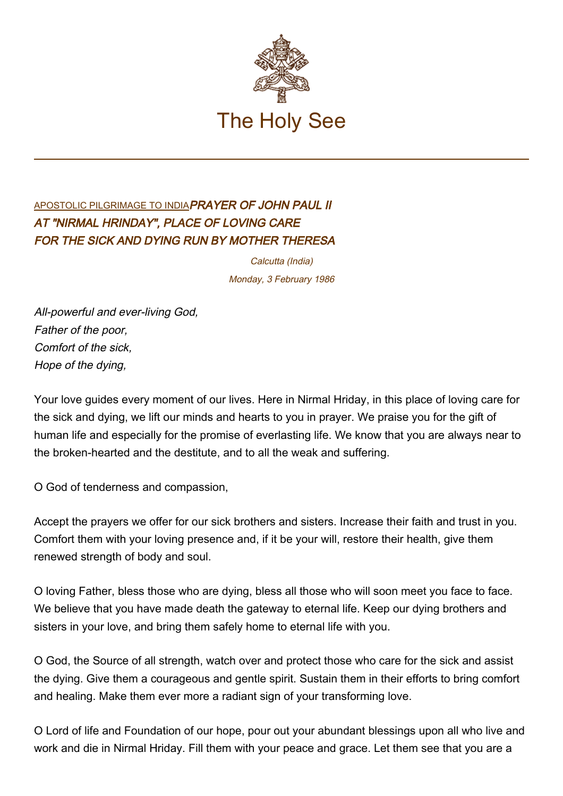

## [APOSTOLIC PILGRIMAGE TO INDIA](http://localhost/holy_father/john_paul_ii/travels/sub_index1986/trav_india.htm)PRAYER OF JOHN PAUL II AT "NIRMAL HRINDAY", PLACE OF LOVING CARE FOR THE SICK AND DYING RUN BY MOTHER THERESA

Calcutta (India) Monday, 3 February 1986

All-powerful and ever-living God, Father of the poor, Comfort of the sick, Hope of the dying,

Your love guides every moment of our lives. Here in Nirmal Hriday, in this place of loving care for the sick and dying, we lift our minds and hearts to you in prayer. We praise you for the gift of human life and especially for the promise of everlasting life. We know that you are always near to the broken-hearted and the destitute, and to all the weak and suffering.

O God of tenderness and compassion,

Accept the prayers we offer for our sick brothers and sisters. Increase their faith and trust in you. Comfort them with your loving presence and, if it be your will, restore their health, give them renewed strength of body and soul.

O loving Father, bless those who are dying, bless all those who will soon meet you face to face. We believe that you have made death the gateway to eternal life. Keep our dying brothers and sisters in your love, and bring them safely home to eternal life with you.

O God, the Source of all strength, watch over and protect those who care for the sick and assist the dying. Give them a courageous and gentle spirit. Sustain them in their efforts to bring comfort and healing. Make them ever more a radiant sign of your transforming love.

O Lord of life and Foundation of our hope, pour out your abundant blessings upon all who live and work and die in Nirmal Hriday. Fill them with your peace and grace. Let them see that you are a